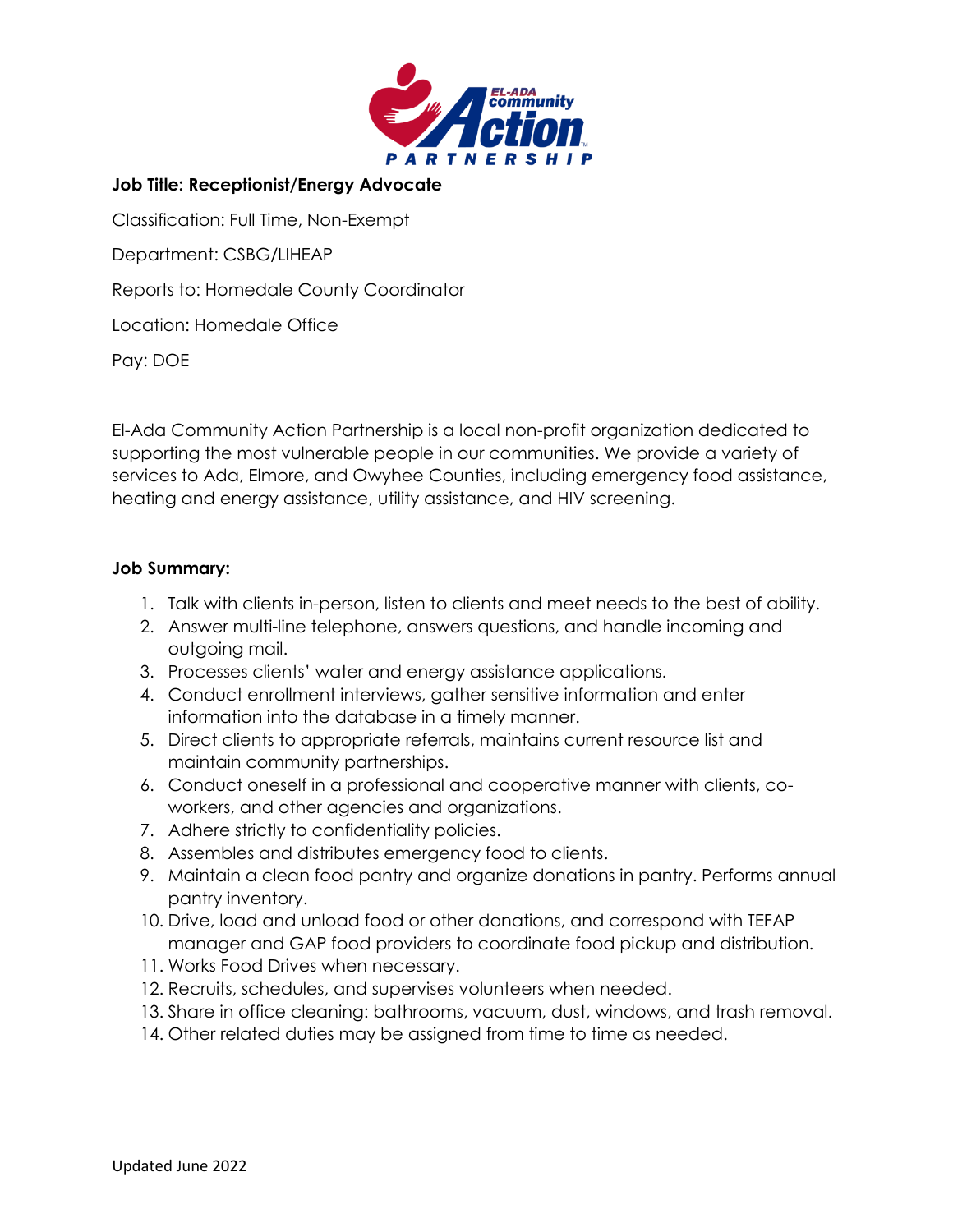

## **Job Title: Receptionist/Energy Advocate**

Classification: Full Time, Non-Exempt

Department: CSBG/LIHEAP

Reports to: Homedale County Coordinator

Location: Homedale Office

Pay: DOE

El-Ada Community Action Partnership is a local non-profit organization dedicated to supporting the most vulnerable people in our communities. We provide a variety of services to Ada, Elmore, and Owyhee Counties, including emergency food assistance, heating and energy assistance, utility assistance, and HIV screening.

## **Job Summary:**

- 1. Talk with clients in-person, listen to clients and meet needs to the best of ability.
- 2. Answer multi-line telephone, answers questions, and handle incoming and outgoing mail.
- 3. Processes clients' water and energy assistance applications.
- 4. Conduct enrollment interviews, gather sensitive information and enter information into the database in a timely manner.
- 5. Direct clients to appropriate referrals, maintains current resource list and maintain community partnerships.
- 6. Conduct oneself in a professional and cooperative manner with clients, coworkers, and other agencies and organizations.
- 7. Adhere strictly to confidentiality policies.
- 8. Assembles and distributes emergency food to clients.
- 9. Maintain a clean food pantry and organize donations in pantry. Performs annual pantry inventory.
- 10. Drive, load and unload food or other donations, and correspond with TEFAP manager and GAP food providers to coordinate food pickup and distribution.
- 11. Works Food Drives when necessary.
- 12. Recruits, schedules, and supervises volunteers when needed.
- 13. Share in office cleaning: bathrooms, vacuum, dust, windows, and trash removal.
- 14. Other related duties may be assigned from time to time as needed.